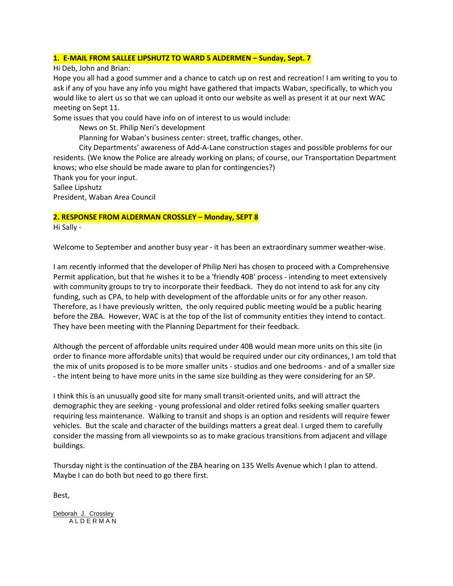# **1. E-MAIL FROM SALLEE LIPSHUTZ TO WARD 5 ALDERMEN – Sunday, Sept. 7**

Hi Deb, John and Brian:

Hope you all had a good summer and a chance to catch up on rest and recreation! I am writing to you to ask if any of you have any info you might have gathered that impacts Waban, specifically, to which you would like to alert us so that we can upload it onto our website as well as present it at our next WAC meeting on Sept 11.

Some issues that you could have info on of interest to us would include:

News on St. Philip Neri's development

Planning for Waban's business center: street, traffic changes, other.

 City Departments' awareness of Add-A-Lane construction stages and possible problems for our residents. (We know the Police are already working on plans; of course, our Transportation Department knows; who else should be made aware to plan for contingencies?)

Thank you for your input.

Sallee Lipshutz President, Waban Area Council

# **2. RESPONSE FROM ALDERMAN CROSSLEY – Monday, SEPT 8**

Hi Sally -

Welcome to September and another busy year - it has been an extraordinary summer weather-wise.

I am recently informed that the developer of Philip Neri has chosen to proceed with a Comprehensive Permit application, but that he wishes it to be a 'friendly 40B' process - intending to meet extensively with community groups to try to incorporate their feedback. They do not intend to ask for any city funding, such as CPA, to help with development of the affordable units or for any other reason. Therefore, as I have previously written, the only required public meeting would be a public hearing before the ZBA. However, WAC is at the top of the list of community entities they intend to contact. They have been meeting with the Planning Department for their feedback.

Although the percent of affordable units required under 40B would mean more units on this site (in order to finance more affordable units) that would be required under our city ordinances, I am told that the mix of units proposed is to be more smaller units - studios and one bedrooms - and of a smaller size - the intent being to have more units in the same size building as they were considering for an SP.

I think this is an unusually good site for many small transit-oriented units, and will attract the demographic they are seeking - young professional and older retired folks seeking smaller quarters requiring less maintenance. Walking to transit and shops is an option and residents will require fewer vehicles. But the scale and character of the buildings matters a great deal. I urged them to carefully consider the massing from all viewpoints so as to make gracious transitions from adjacent and village buildings.

Thursday night is the continuation of the ZBA hearing on 135 Wells Avenue which I plan to attend. Maybe I can do both but need to go there first.

Best,

Deborah J. Crossley A L D E R M A N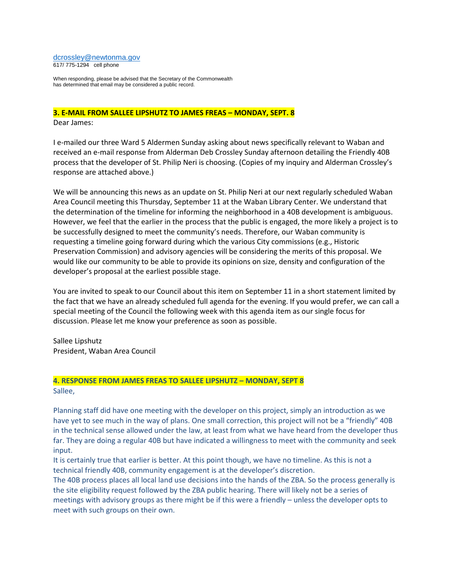#### [dcrossley@newtonma.gov](mailto:dcrossley@newtonma.gov) 617/ 775-1294 cell phone

When responding, please be advised that the Secretary of the Commonwealth has determined that email may be considered a public record.

### **3. E-MAIL FROM SALLEE LIPSHUTZ TO JAMES FREAS – MONDAY, SEPT. 8**

Dear James:

I e-mailed our three Ward 5 Aldermen Sunday asking about news specifically relevant to Waban and received an e-mail response from Alderman Deb Crossley Sunday afternoon detailing the Friendly 40B process that the developer of St. Philip Neri is choosing. (Copies of my inquiry and Alderman Crossley's response are attached above.)

We will be announcing this news as an update on St. Philip Neri at our next regularly scheduled Waban Area Council meeting this Thursday, September 11 at the Waban Library Center. We understand that the determination of the timeline for informing the neighborhood in a 40B development is ambiguous. However, we feel that the earlier in the process that the public is engaged, the more likely a project is to be successfully designed to meet the community's needs. Therefore, our Waban community is requesting a timeline going forward during which the various City commissions (e.g., Historic Preservation Commission) and advisory agencies will be considering the merits of this proposal. We would like our community to be able to provide its opinions on size, density and configuration of the developer's proposal at the earliest possible stage.

You are invited to speak to our Council about this item on September 11 in a short statement limited by the fact that we have an already scheduled full agenda for the evening. If you would prefer, we can call a special meeting of the Council the following week with this agenda item as our single focus for discussion. Please let me know your preference as soon as possible.

Sallee Lipshutz President, Waban Area Council

### **4. RESPONSE FROM JAMES FREAS TO SALLEE LIPSHUTZ – MONDAY, SEPT 8** Sallee,

Planning staff did have one meeting with the developer on this project, simply an introduction as we have yet to see much in the way of plans. One small correction, this project will not be a "friendly" 40B in the technical sense allowed under the law, at least from what we have heard from the developer thus far. They are doing a regular 40B but have indicated a willingness to meet with the community and seek input.

It is certainly true that earlier is better. At this point though, we have no timeline. As this is not a technical friendly 40B, community engagement is at the developer's discretion.

The 40B process places all local land use decisions into the hands of the ZBA. So the process generally is the site eligibility request followed by the ZBA public hearing. There will likely not be a series of meetings with advisory groups as there might be if this were a friendly – unless the developer opts to meet with such groups on their own.